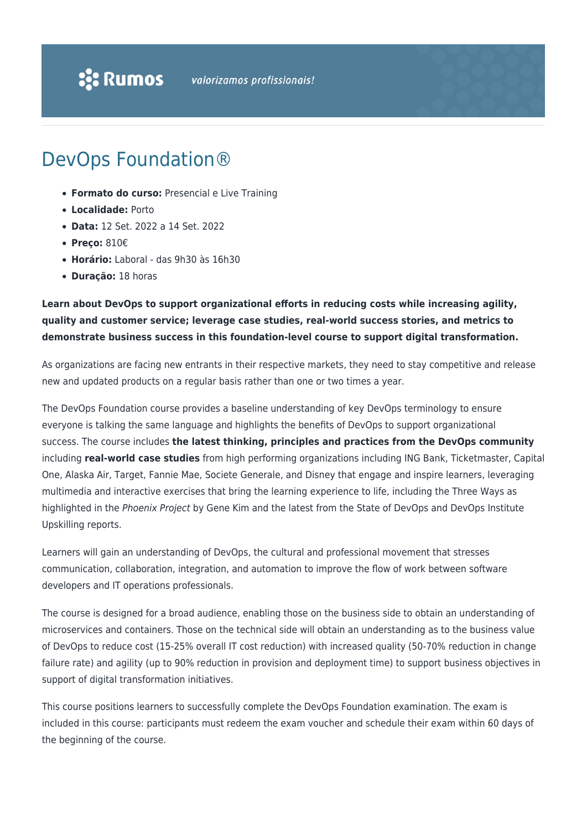# DevOps Foundation®

- **Formato do curso:** Presencial e Live Training
- **Localidade:** Porto
- **Data:** 12 Set. 2022 a 14 Set. 2022
- **Preço:** 810€
- **Horário:** Laboral das 9h30 às 16h30
- **Duração:** 18 horas

### **Learn about DevOps to support organizational efforts in reducing costs while increasing agility, quality and customer service; leverage case studies, real-world success stories, and metrics to demonstrate business success in this foundation-level course to support digital transformation.**

As organizations are facing new entrants in their respective markets, they need to stay competitive and release new and updated products on a regular basis rather than one or two times a year.

The DevOps Foundation course provides a baseline understanding of key DevOps terminology to ensure everyone is talking the same language and highlights the benefits of DevOps to support organizational success. The course includes **the latest thinking, principles and practices from the DevOps community** including **real-world case studies** from high performing organizations including ING Bank, Ticketmaster, Capital One, Alaska Air, Target, Fannie Mae, Societe Generale, and Disney that engage and inspire learners, leveraging multimedia and interactive exercises that bring the learning experience to life, including the Three Ways as highlighted in the Phoenix Project by Gene Kim and the latest from the State of DevOps and DevOps Institute Upskilling reports.

Learners will gain an understanding of DevOps, the cultural and professional movement that stresses communication, collaboration, integration, and automation to improve the flow of work between software developers and IT operations professionals.

The course is designed for a broad audience, enabling those on the business side to obtain an understanding of microservices and containers. Those on the technical side will obtain an understanding as to the business value of DevOps to reduce cost (15-25% overall IT cost reduction) with increased quality (50-70% reduction in change failure rate) and agility (up to 90% reduction in provision and deployment time) to support business objectives in support of digital transformation initiatives.

This course positions learners to successfully complete the DevOps Foundation examination. The exam is included in this course: participants must redeem the exam voucher and schedule their exam within 60 days of the beginning of the course.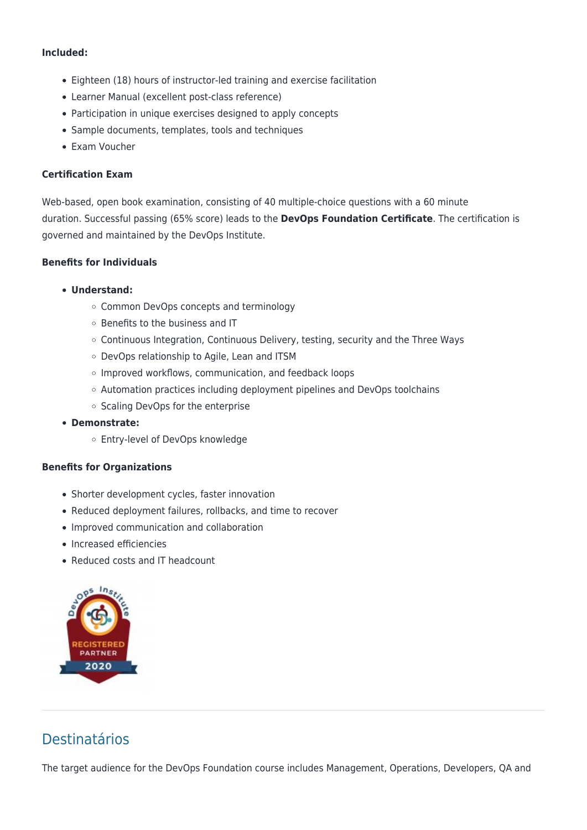### **Included:**

- Eighteen (18) hours of instructor-led training and exercise facilitation
- Learner Manual (excellent post-class reference)
- Participation in unique exercises designed to apply concepts
- Sample documents, templates, tools and techniques
- Exam Voucher

### **Certification Exam**

Web-based, open book examination, consisting of 40 multiple-choice questions with a 60 minute duration. Successful passing (65% score) leads to the **DevOps Foundation Certificate**. The certification is governed and maintained by the DevOps Institute.

### **Benefits for Individuals**

#### **Understand:**

- Common DevOps concepts and terminology
- o Benefits to the business and IT
- $\circ$  Continuous Integration, Continuous Delivery, testing, security and the Three Ways
- DevOps relationship to Agile, Lean and ITSM
- o Improved workflows, communication, and feedback loops
- $\circ$  Automation practices including deployment pipelines and DevOps toolchains
- Scaling DevOps for the enterprise
- **Demonstrate:**
	- Entry-level of DevOps knowledge

#### **Benefits for Organizations**

- Shorter development cycles, faster innovation
- Reduced deployment failures, rollbacks, and time to recover
- Improved communication and collaboration
- Increased efficiencies
- Reduced costs and IT headcount



# Destinatários

The target audience for the DevOps Foundation course includes Management, Operations, Developers, QA and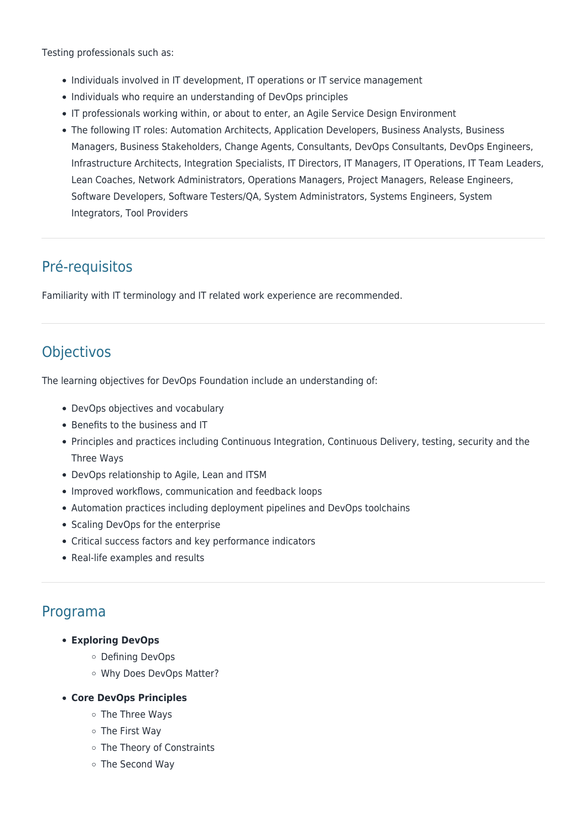Testing professionals such as:

- Individuals involved in IT development, IT operations or IT service management
- Individuals who require an understanding of DevOps principles
- IT professionals working within, or about to enter, an Agile Service Design Environment
- The following IT roles: Automation Architects, Application Developers, Business Analysts, Business Managers, Business Stakeholders, Change Agents, Consultants, DevOps Consultants, DevOps Engineers, Infrastructure Architects, Integration Specialists, IT Directors, IT Managers, IT Operations, IT Team Leaders, Lean Coaches, Network Administrators, Operations Managers, Project Managers, Release Engineers, Software Developers, Software Testers/QA, System Administrators, Systems Engineers, System Integrators, Tool Providers

# Pré-requisitos

Familiarity with IT terminology and IT related work experience are recommended.

# **Objectivos**

The learning objectives for DevOps Foundation include an understanding of:

- DevOps objectives and vocabulary
- Benefits to the business and IT
- Principles and practices including Continuous Integration, Continuous Delivery, testing, security and the Three Ways
- DevOps relationship to Agile, Lean and ITSM
- Improved workflows, communication and feedback loops
- Automation practices including deployment pipelines and DevOps toolchains
- Scaling DevOps for the enterprise
- Critical success factors and key performance indicators
- Real-life examples and results

### Programa

- **Exploring DevOps**
	- Defining DevOps
	- Why Does DevOps Matter?
- **Core DevOps Principles**
	- The Three Ways
	- The First Way
	- o The Theory of Constraints
	- The Second Way